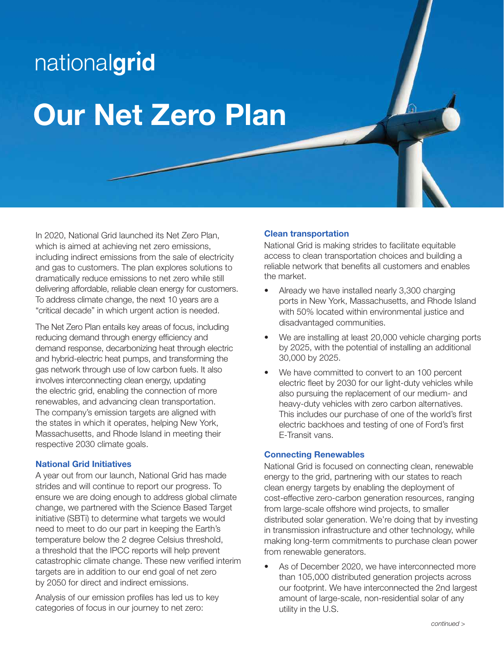# nationalgrid Our Net Zero Plan

In 2020, National Grid launched its Net Zero Plan, which is aimed at achieving net zero emissions, including indirect emissions from the sale of electricity and gas to customers. The plan explores solutions to dramatically reduce emissions to net zero while still delivering affordable, reliable clean energy for customers. To address climate change, the next 10 years are a "critical decade" in which urgent action is needed.

The Net Zero Plan entails key areas of focus, including reducing demand through energy efficiency and demand response, decarbonizing heat through electric and hybrid-electric heat pumps, and transforming the gas network through use of low carbon fuels. It also involves interconnecting clean energy, updating the electric grid, enabling the connection of more renewables, and advancing clean transportation. The company's emission targets are aligned with the states in which it operates, helping New York, Massachusetts, and Rhode Island in meeting their respective 2030 climate goals.

### National Grid Initiatives

A year out from our launch, National Grid has made strides and will continue to report our progress. To ensure we are doing enough to address global climate change, we partnered with the Science Based Target initiative (SBTi) to determine what targets we would need to meet to do our part in keeping the Earth's temperature below the 2 degree Celsius threshold, a threshold that the IPCC reports will help prevent catastrophic climate change. These new verified interim targets are in addition to our end goal of net zero by 2050 for direct and indirect emissions.

Analysis of our emission profiles has led us to key categories of focus in our journey to net zero:

### Clean transportation

National Grid is making strides to facilitate equitable access to clean transportation choices and building a reliable network that benefits all customers and enables the market.

- Already we have installed nearly 3,300 charging ports in New York, Massachusetts, and Rhode Island with 50% located within environmental justice and disadvantaged communities.
- We are installing at least 20,000 vehicle charging ports by 2025, with the potential of installing an additional 30,000 by 2025.
- We have committed to convert to an 100 percent electric fleet by 2030 for our light-duty vehicles while also pursuing the replacement of our medium- and heavy-duty vehicles with zero carbon alternatives. This includes our purchase of one of the world's first electric backhoes and testing of one of Ford's first E-Transit vans.

### Connecting Renewables

National Grid is focused on connecting clean, renewable energy to the grid, partnering with our states to reach clean energy targets by enabling the deployment of cost-effective zero-carbon generation resources, ranging from large-scale offshore wind projects, to smaller distributed solar generation. We're doing that by investing in transmission infrastructure and other technology, while making long-term commitments to purchase clean power from renewable generators.

As of December 2020, we have interconnected more than 105,000 distributed generation projects across our footprint. We have interconnected the 2nd largest amount of large-scale, non-residential solar of any utility in the U.S.